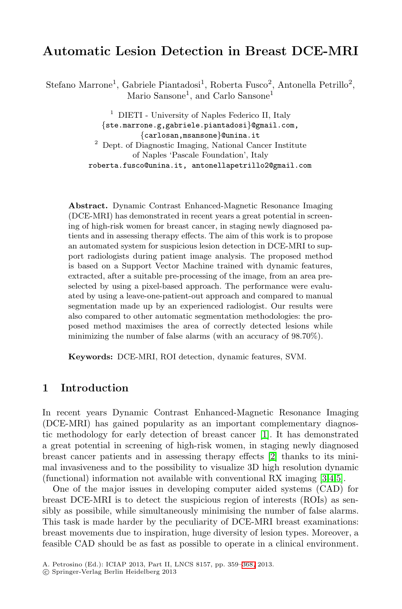# **Automatic Lesion Detection in Breast DCE-MRI**

Stefano Marrone<sup>1</sup>, Gabriele Piantadosi<sup>1</sup>, Roberta Fusco<sup>2</sup>, Antonella Petrillo<sup>2</sup>, Mario Sansone<sup>1</sup>, and Carlo Sansone<sup>1</sup>

> <sup>1</sup> DIETI - University of Naples Federico II, Italy *{*ste.marrone.g,gabriele.piantadosi*}*@gmail.com, <sup>2</sup> Dept. of Diagnostic Imaging, National Cancer Institute of Naples 'Pascale Foundation', Italy roberta.fusco@unina.it, antonellapetrillo2@gmail.com

**Abstract.** Dynamic Contrast Enhanced-Magnetic Resonance Imaging (DCE-MRI) has demonstrated in recent years a great potential in screening of high-risk women for breast cancer, in staging newly diagnosed patients and in assessing therapy effects. The aim of this work is to propose an automated system for suspicious lesion detection in DCE-MRI to support radiologists during patient image analysis. The proposed method is based on a Support Vector Machine trained with dynamic features, extracted, after a suitable pre-processing of the image, from an area preselected by using a pixel-based approach. The performance were evaluated by using a leave-one-patient-out approach and compared to manual segmentation made up by an experienced radiologist. Our results were also compared to other automatic segmentation methodologies: the proposed method maximises the area of correctly detected lesions while minimizing the number of false alarms (with an accuracy of 98.70%).

**Keywords:** DCE-MRI, ROI de[tec](#page-8-0)tion, dynamic features, SVM.

## **1 Introduction**

In recent years Dynamic Contrast Enhanced-Magnetic Resonance Imaging (DCE-MRI) has gained popularity as an important complementary diagnostic methodology for early detection of breast cancer [1]. It has demonstrated a great potential in screening of high-risk women, in staging newly diagnosed breast cancer patients and in assessing therapy effects [2] thanks to its minimal invasiveness and to the possibility to visualize 3D high resolution dynamic (functional) information not av[ailab](#page-9-0)le with conventional RX imaging [3,4,5].

One of the major issues in developing computer aided systems (CAD) for breast DCE-MRI is to detect the suspicious region of interests (ROIs) as sensibly as possibile, while simultaneously minimising the number of false alarms. This task is made harder by the peculiarity of DCE-MRI breast examinations: breast movements due to inspiration, huge diversity of lesion types. Moreover, a feasible CAD should be as fast as possible to operate in a clinical environment.

A. Petrosino (Ed.): ICIAP 2013, Part II, LNCS 8157, pp. 359–368, 2013.

<sup>-</sup>c Springer-Verlag Berlin Heidelberg 2013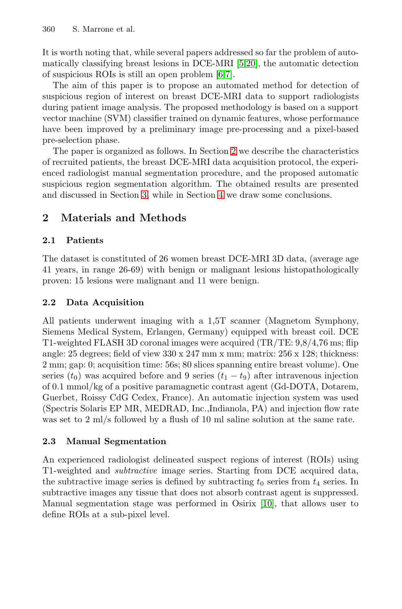<span id="page-1-0"></span>It is worth noting that, while several papers addressed so far the problem of automatically classifying breast l[esi](#page-1-0)ons in DCE-MRI [5,20], the automatic detection of suspicious ROIs is still an open problem [6,7].

The aim of this paper is to propose an automated method for detection of suspicious region of interest on breast DCE-MRI data to support radiologists during [pa](#page-5-0)tient image anal[ys](#page-8-1)is. The proposed methodology is based on a support vector machine (SVM) classifier trained on dynamic features, whose performance have been improved by a preliminary image pre-processing and a pixel-based pre-selection phase.

The paper is organized as follows. In Section 2 we describe the characteristics of recruited patients, the breast DCE-MRI data acquisition protocol, the experienced radiologist manual segmentation procedure, and the proposed automatic suspicious region segmentation algorithm. The obtained results are presented and discussed in Section 3, while in Section 4 we draw some conclusions.

## **2 Materials and Methods**

#### **2.1 Patients**

The dataset is constituted of 26 women breast DCE-MRI 3D data, (average age 41 years, in range 26-69) with benign or malignant lesions histopathologically proven: 15 lesions were malignant and 11 were benign.

#### **2.2 Data Acquisition**

All patients underwent imaging with a 1,5T scanner (Magnetom Symphony, Siemens Medical System, Erlangen, Germany) equipped with breast coil. DCE T1-weighted FLASH 3D coronal images were acquired (TR/TE: 9,8/4,76 ms; flip angle: 25 degrees; field of view  $330 \times 247$  mm x mm; matrix:  $256 \times 128$ ; thickness: 2 mm; gap: 0; acquisition time: 56s; 80 slices spanning entire breast volume). One series  $(t_0)$  was acquired before and 9 series  $(t_1 - t_9)$  after intravenous injection of 0.1 mmol/kg of a positive paramagnetic contrast agent (Gd-DOTA, Dotarem, Guerbet, Roissy CdG Cedex, France). An automatic injection system was used (Spectris Solaris EP MR, MEDRAD, Inc.,Indianola, PA) and injection flow rate was set to 2 ml/s followed by a flush [of](#page-9-1) 10 ml saline solution at the same rate.

#### **2.3 Manual Segmentation**

An experienced radiologist delineated suspect regions of interest (ROIs) using T1-weighted and *subtractive* image series. Starting from DCE acquired data, the subtractive image series is defined by subtracting  $t_0$  series from  $t_4$  series. In subtractive images any tissue that does not absorb contrast agent is suppressed. Manual segmentation stage was performed in Osirix [10], that allows user to define ROIs at a sub-pixel level.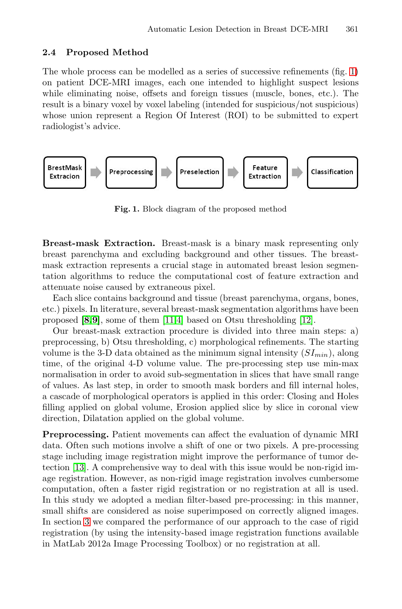#### <span id="page-2-0"></span>**2.4 Proposed Method**

The whole process can be modelled as a series of successive refinements (fig. 1) on patient DCE-MRI images, each one intended to highlight suspect lesions while eliminating noise, offsets and foreign tissues (muscle, bones, etc.). The result is a binary voxel by voxel labeling (intended for suspicious/not suspicious) whose union represent a Region Of Interest (ROI) to be submitted to expert radiologist's advice.



**Fig. 1.** Block diagram of the proposed method

**Breast-ma[sk](#page-9-2) [E](#page-8-2)xtraction.** Breast-mask is [a](#page-9-3) [bi](#page-9-3)nary mask representing only breast parenchyma and excluding background and other tissues. The breastmask extraction represents a crucial stage in automated breast lesion segmentation algorithms to reduce the computational cost of feature extraction and attenuate noise caused by extraneous pixel.

Each slice contains background and tissue (breast parenchyma, organs, bones, etc.) pixels. In literature, several breast-mask segmentation algorithms have been proposed **[8,9]**, some of them [11,4] based on Otsu thresholding [12].

Our breast-mask extraction procedure is divided into three main steps: a) preprocessing, b) Otsu thresholding, c) morphological refinements. The starting volume is the 3-D data obtained as the minimum signal intensity  $(SI_{min})$ , along time, of the original 4-D volume value. The pre-processing step use min-max normalisation in order to avoid sub-segmentation in slices that have small range of values. As last step, in order to smooth mask borders and fill internal holes, a cascade of morphological operators is applied in this order: Closing and Holes filling applied on global volume, Erosion applied slice by slice in coronal view direction, Dilatation applied on the global volume.

**Preprocessing.** Patient movements can affect the evaluation of dynamic MRI data. Often such motions involve a shift of one or two pixels. A pre-processing stage including image registration might improve the performance of tumor detection [13]. A comprehensive way to deal with this issue would be non-rigid image registration. However, as non-rigid image registration involves cumbersome computation, often a faster rigid registration or no registration at all is used. In this study we adopted a median filter-based pre-processing: in this manner, small shifts are considered as noise superimposed on correctly aligned images. In section 3 we compared the performance of our approach to the case of rigid registration (by using the intensity-based image registration functions available in MatLab 2012a Image Processing Toolbox) or no registration at all.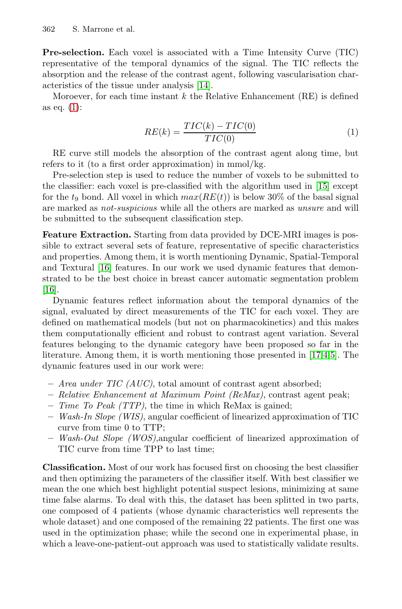**Pre-selection.** Each voxel is associated with a Time Intensity Curve (TIC) representative of the temporal dynamics of the signal. The TIC reflects the absorption and the release of the contrast agent, following vascularisation characteristics of the tissue under analysis [14].

Moroever, for each time instant  $k$  the Relative [Enh](#page-9-4)ancement  $(RE)$  is defined as eq. (1):

$$
RE(k) = \frac{TIC(k) - TIC(0)}{TIC(0)}\tag{1}
$$

RE curve still models the absorption of the contrast agent along time, but refers to it (to a first order approximation) in mmol/kg.

Pre-selection step is used to reduce the number of voxels to be submitted to the classifier: each voxel is pre-classified with the algorithm used in [15] except for the  $t_9$  bond. All voxel in which  $max(RE(t))$  is below 30% of the basal signal are marked as *not-suspicious* while all the others are marked as *unsure* and will be submitted to the subsequent classification step.

**Feature Extraction.** Starting from data provided by DCE-MRI images is possible to extract several sets of feature, representative of specific characteristics and properties. Among them, it is worth mentioning Dynamic, Spatial-Temporal and Textural [16] features. In our work we used [dyn](#page-9-5)[a](#page-8-2)[m](#page-8-3)ic features that demonstrated to be the best choice in breast cancer automatic segmentation problem [16].

Dynamic features reflect information about the temporal dynamics of the signal, evaluated by direct measurements of the TIC for each voxel. They are defined on mathematical models (but not on pharmacokinetics) and this makes them computationally efficient and robust to contrast agent variation. Several features belonging to the dynamic category have been proposed so far in the literature. Among them, it is worth mentioning those presented in [17,4,5]. The dynamic features used in our work were:

- **–** *Area under TIC (AUC)*, total amount of contrast agent absorbed;
- **–** *Relative Enhancement at Maximum Point (ReMax)*, contrast agent peak;
- **–** *Time To Peak (TTP)*, the time in which ReMax is gained;
- **–** *Wash-In Slope (WIS)*, angular coefficient of linearized approximation of TIC curve from time 0 to TTP;
- **–** *Wash-Out Slope (WOS)*,angular coefficient of linearized approximation of TIC curve from time TPP to last time;

**Classification.** Most of our work has focused first on choosing the best classifier and then optimizing the parameters of the classifier itself. With best classifier we mean the one which best highlight potential suspect lesions, minimizing at same time false alarms. To deal with this, the dataset has been splitted in two parts, one composed of 4 patients (whose dynamic characteristics well represents the whole dataset) and one composed of the remaining 22 patients. The first one was used in the optimization phase; while the second one in experimental phase, in which a leave-one-patient-out approach was used to statistically validate results.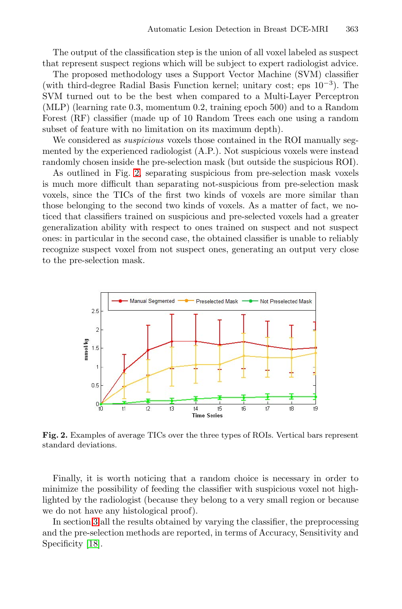The output of the classification step is the union of all voxel labeled as suspect that represent suspect regions which will be subject to expert radiologist advice.

The proposed methodology uses a Support Vector Machine (SVM) classifier (wit[h t](#page-4-0)hird-degree Radial Basis Function kernel; unitary cost; eps  $10^{-3}$ ). The SVM turned out to be the best when compared to a Multi-Layer Perceptron (MLP) (learning rate 0.3, momentum 0.2, training epoch 500) and to a Random Forest (RF) classifier (made up of 10 Random Trees each one using a random subset of feature with no limitation on its maximum depth).

We considered as *suspicious* voxels those contained in the ROI manually segmented by the experienced radiologist (A.P.). Not suspicious voxels were instead randomly chosen inside the pre-selection mask (but outside the suspicious ROI).

As outlined in Fig. 2, separating suspicious from pre-selection mask voxels is much more difficult than separating not-suspicious from pre-selection mask voxels, since the TICs of the first two kinds of voxels are more similar than those belonging to the second two kinds of voxels. As a matter of fact, we noticed that classifiers trained on suspicious and pre-selected voxels had a greater generalization ability with respect to ones trained on suspect and not suspect ones: in particular in the second case, the obtained classifier is unable to reliably recognize suspect voxel from not suspect ones, generating an output very close to the pre-selection mask.

<span id="page-4-0"></span>

**Fig. 2.** Examples of average TICs over the three types of ROIs. Vertical bars represent standard deviations.

Finally, it is worth noticing that a random choice is necessary in order to minimize the possibility of feeding the classifier with suspicious voxel not highlighted by the radiologist (because they belong to a very small region or because we do not have any histological proof).

In section 3 all the results obtained by varying the classifier, the preprocessing and the pre-selection methods are reported, in terms of Accuracy, Sensitivity and Specificity [18].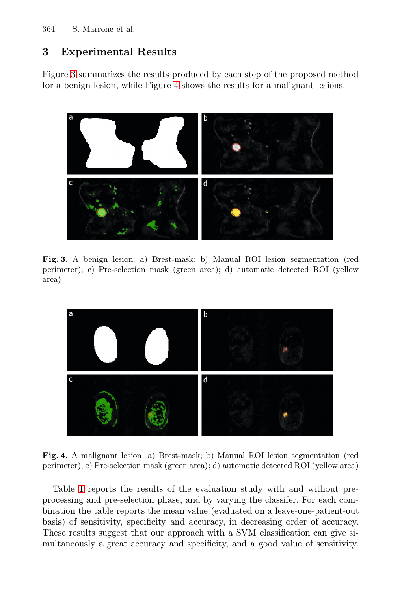## <span id="page-5-0"></span>**3 Experimental Results**

Figure 3 summarizes the results produced by each step of the proposed method for a benign lesion, while Figure 4 shows the results for a malignant lesions.



**Fig. 3.** A benign lesion: a) Brest-mask; b) Manual ROI lesion segmentation (red perimeter); c) Pre-selection mask (green area); d) automatic detected ROI (yellow area)



**Fig. 4.** A malignant lesion: a) Brest-mask; b) Manual ROI lesion segmentation (red perimeter); c) Pre-selection mask (green area); d) automatic detected ROI (yellow area)

Table 1 reports the results of the evaluation study with and without preprocessing and pre-selection phase, and by varying the classifer. For each combination the table reports the mean value (evaluated on a leave-one-patient-out basis) of sensitivity, specificity and accuracy, in decreasing order of accuracy. These results suggest that our approach with a SVM classification can give simultaneously a great accuracy and specificity, and a good value of sensitivity.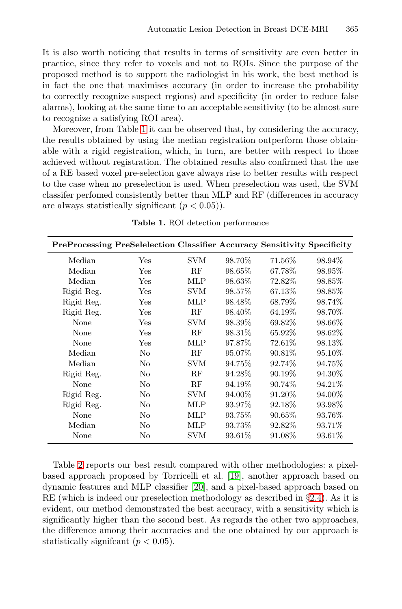<span id="page-6-0"></span>It is a[lso](#page-6-0) worth noticing that results in terms of sensitivity are even better in practice, since they refer to voxels and not to ROIs. Since the purpose of the proposed method is to support the radiologist in his work, the best method is in fact the one that maximises accuracy (in order to increase the probability to correctly recognize suspect regions) and specificity (in order to reduce false alarms), looking at the same time to an acceptable sensitivity (to be almost sure to recognize a satisfying ROI area).

Moreover, from Table 1 it can be observed that, by considering the accuracy, the results obtained by using the median registration outperform those obtainable with a rigid registration, which, in turn, are better with respect to those achieved without registration. The obtained results also confirmed that the use of a RE based voxel pre-selection gave always rise to better results with respect to the case when no preselection is used. When preselection was used, the SVM classifer perfomed consistently better than MLP and RF (differences in accuracy are always statistically significant  $(p < 0.05)$ ).

**Table 1.** ROI detection performance

|            | <b>PreProcessing PreSelelection Classifier Accuracy Sensitivity Specificity</b> |            |         |           |         |
|------------|---------------------------------------------------------------------------------|------------|---------|-----------|---------|
| Median     | Yes                                                                             | <b>SVM</b> | 98.70\% | 71.56%    | 98.94\% |
| Median     | Yes                                                                             | RF         | 98.65\% | 67.78%    | 98.95\% |
| Median     | Yes                                                                             | MLP        | 98.63%  | 72.82%    | 98.85%  |
| Rigid Reg. | Yes                                                                             | SVM        | 98.57%  | 67.13\%   | 98.85\% |
| Rigid Reg. | Yes                                                                             | MLP        | 98.48\% | 68.79%    | 98.74\% |
| Rigid Reg. | Yes                                                                             | RF         | 98.40\% | 64.19%    | 98.70\% |
| None       | Yes                                                                             | SVM        | 98.39\% | 69.82\%   | 98.66\% |
| None       | Yes                                                                             | RF         | 98.31\% | 65.92\%   | 98.62\% |
| None       | Yes                                                                             | MLP        | 97.87\% | 72.61\%   | 98.13%  |
| Median     | N <sub>0</sub>                                                                  | RF         | 95.07\% | 90.81\%   | 95.10\% |
| Median     | No                                                                              | <b>SVM</b> | 94.75%  | 92.74\%   | 94.75%  |
| Rigid Reg. | No                                                                              | RF         | 94.28\% | 90.19\%   | 94.30\% |
| None       | No                                                                              | RF         | 94.19%  | 90.74\%   | 94.21\% |
| Rigid Reg. | No                                                                              | SVM        | 94.00%  | 91.20\%   | 94.00%  |
| Rigid Reg. | N <sub>o</sub>                                                                  | MLP        | 93.97%  | 92.18\%   | 93.98%  |
| None       | N <sub>o</sub>                                                                  | MLP        | 93.75\% | $90.65\%$ | 93.76\% |
| Median     | No                                                                              | MLP        | 93.73%  | 92.82\%   | 93.71%  |
| None       | No                                                                              | SVM        | 93.61\% | 91.08\%   | 93.61\% |

Table 2 reports our best result compared with other methodologies: a pixelbased approach proposed by Torricelli et al. [19], another approach based on dynamic features and MLP classifier [20], and a pixel-based approach based on RE (which is indeed our preselection methodology as described in *§*2.4). As it is evident, our method demonstrated the best accuracy, with a sensitivity which is significantly higher than the second best. As regards the other two approaches, the difference among their accuracies and the one obtained by our approach is statistically significant  $(p < 0.05)$ .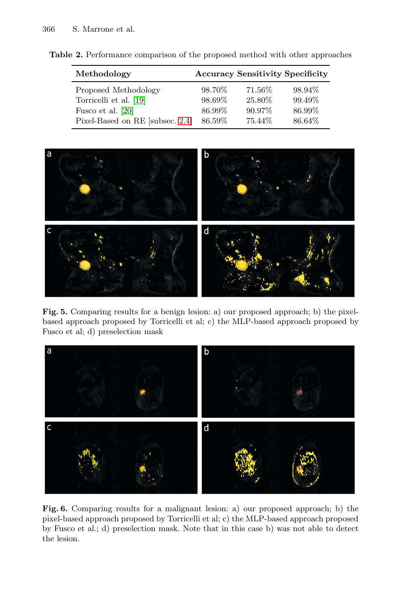**Table 2.** Performance comparison of the proposed method with other approaches

| Methodology                     | <b>Accuracy Sensitivity Specificity</b> |           |        |  |
|---------------------------------|-----------------------------------------|-----------|--------|--|
| Proposed Methodology            | 98.70\%                                 | 71.56%    | 98.94% |  |
| Torricelli et al. [19]          | 98.69%                                  | 25.80\%   | 99.49% |  |
| Fusco et al. [20]               | 86.99%                                  | $90.97\%$ | 86.99% |  |
| Pixel-Based on RE [subsec. 2.4] | 86.59%                                  | 75.44\%   | 86.64% |  |



Fig. 5. Comparing results for a benign lesion: a) our proposed approach; b) the pixelbased approach proposed by Torricelli et al; c) the MLP-based approach proposed by Fusco et al; d) preselection mask



**Fig. 6.** Comparing results for a malignant lesion: a) our proposed approach; b) the pixel-based approach proposed by Torricelli et al; c) the MLP-based approach proposed by Fusco et al.; d) preselection mask. Note that in this case b) was not able to detect the lesion.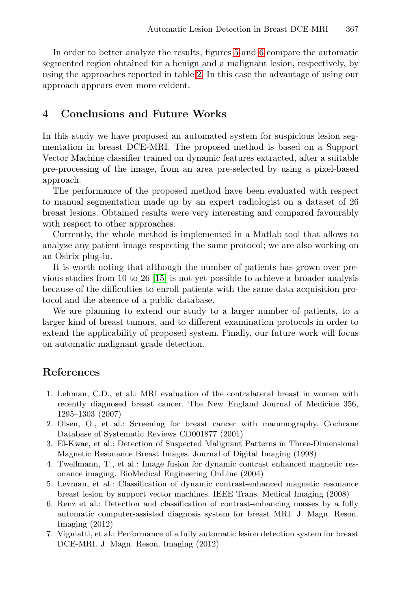<span id="page-8-1"></span>In order to better analyze the results, figures 5 and 6 compare the automatic segmented region obtained for a benign and a malignant lesion, respectively, by using the approaches reported in table 2. In this case the advantage of using our approach appears even more evident.

## **4 Conclusions and Future Works**

In this study we have proposed an automated system for suspicious lesion segmentation in breast DCE-MRI. The proposed method is based on a Support Vector Machine classifier trained on dynamic features extracted, after a suitable pre-processing of the image, from an area pre-selected by using a pixel-based approach.

The pe[rfor](#page-9-4)mance of the proposed method have been evaluated with respect to manual segmentation made up by an expert radiologist on a dataset of 26 breast lesions. Obtained results were very interesting and compared favourably with respect to other approaches.

<span id="page-8-0"></span>Currently, the whole method is implemented in a Matlab tool that allows to analyze any patient image respecting the same protocol; we are also working on an Osirix plug-in.

It is worth noting that although the number of patients has grown over previous studies from 10 to 26 [15] is not yet possible to achieve a broader analysis because of the difficulties to enroll patients with the same data acquisition protocol and the absence of a public database.

<span id="page-8-3"></span><span id="page-8-2"></span>We are planning to extend our study to a larger number of patients, to a larger kind of breast tumors, and to different examination protocols in order to extend the applicability of proposed system. Finally, our future work will focus on automatic malignant grade detection.

## **References**

- 1. Lehman, C.D., et al.: MRI evaluation of the contralateral breast in women with recently diagnosed breast cancer. The New England Journal of Medicine 356, 1295–1303 (2007)
- 2. Olsen, O., et al.: Screening for breast cancer with mammography. Cochrane Database of Systematic Reviews CD001877 (2001)
- 3. El-Kwae, et al.: Detection of Suspected Malignant Patterns in Three-Dimensional Magnetic Resonance Breast Images. Journal of Digital Imaging (1998)
- 4. Twellmann, T., et al.: Image fusion for dynamic contrast enhanced magnetic resonance imaging. BioMedical Engineering OnLine (2004)
- 5. Levman, et al.: Classification of dynamic contrast-enhanced magnetic resonance breast lesion by support vector machines. IEEE Trans. Medical Imaging (2008)
- 6. Renz et al.: Detection and classification of contrast-enhancing masses by a fully automatic computer-assisted diagnosis system for breast MRI. J. Magn. Reson. Imaging (2012)
- 7. Vigniatti, et al.: Performance of a fully automatic lesion detection system for breast DCE-MRI. J. Magn. Reson. Imaging (2012)